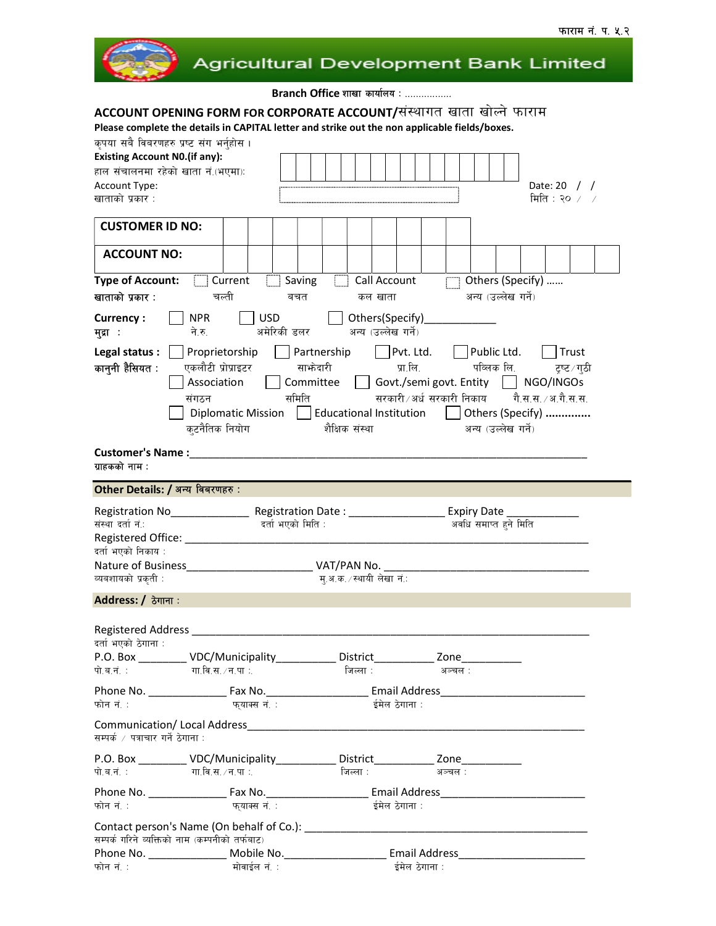

# **Agricultural Development Bank Limited**

Branch Office शाखा कार्यालय : .................

# ACCOUNT OPENING FORM FOR CORPORATE ACCOUNT/संस्थागत खाता खोल्ने फाराम

Please complete the details in CAPITAL letter and strike out the non applicable fields/boxes.

| कृपया सबै विबरणहरु प्रष्ट संग भर्नुहोस ।                                                             |                    |              |                   |                                                                 |                                 |                                                 |                         |                       |  |                      |               |  |
|------------------------------------------------------------------------------------------------------|--------------------|--------------|-------------------|-----------------------------------------------------------------|---------------------------------|-------------------------------------------------|-------------------------|-----------------------|--|----------------------|---------------|--|
| <b>Existing Account N0.(if any):</b>                                                                 |                    |              |                   |                                                                 |                                 |                                                 |                         |                       |  |                      |               |  |
| हाल संचालनमा रहेको खाता नं.(भएमा):                                                                   |                    |              |                   |                                                                 |                                 |                                                 |                         |                       |  |                      |               |  |
| Account Type:                                                                                        |                    |              |                   |                                                                 |                                 |                                                 |                         |                       |  | Date: 20 $/$ /       |               |  |
| खाताको प्रकार :                                                                                      |                    |              |                   |                                                                 |                                 |                                                 |                         |                       |  | मिति : २० $\angle$ / |               |  |
|                                                                                                      |                    |              |                   |                                                                 |                                 |                                                 |                         |                       |  |                      |               |  |
| <b>CUSTOMER ID NO:</b>                                                                               |                    |              |                   |                                                                 |                                 |                                                 |                         |                       |  |                      |               |  |
|                                                                                                      |                    |              |                   |                                                                 |                                 |                                                 |                         |                       |  |                      |               |  |
| <b>ACCOUNT NO:</b>                                                                                   |                    |              |                   |                                                                 |                                 |                                                 |                         |                       |  |                      |               |  |
| <b>Type of Account:</b>                                                                              | Current Saving     |              |                   | Call Account                                                    |                                 |                                                 | $\Box$ Others (Specify) |                       |  |                      |               |  |
| खाताको प्रकार :                                                                                      | चल्ती              |              | बचत               |                                                                 | कल खाता                         |                                                 |                         | अन्य (उल्लेख गर्ने)   |  |                      |               |  |
|                                                                                                      |                    |              |                   |                                                                 |                                 |                                                 |                         |                       |  |                      |               |  |
| <b>Currency:</b>                                                                                     | <b>NPR</b>         | <b>USD</b>   |                   |                                                                 | Others(Specify)______________   |                                                 |                         |                       |  |                      |               |  |
| मद्रा :                                                                                              | ने.रु.             |              | अमेरिकी डलर       |                                                                 | अन्य (उल्लेख गर्ने)             |                                                 |                         |                       |  |                      |               |  |
| Legal status :                                                                                       | Proprietorship     |              |                   | Partnership                                                     | Pvt. Ltd.   Public Ltd.   Trust |                                                 |                         |                       |  |                      |               |  |
| कानुनी हैसियत :                                                                                      | एकलौटी प्रोप्राइटर |              | साभेदारी          |                                                                 |                                 | प्रा.लि.                                        |                         | पव्लिक लि.            |  |                      | ट्रष्ट ⁄ ग्ठी |  |
|                                                                                                      | Association        |              |                   | Committee     Govt./semi govt. Entity     NGO/INGOs             |                                 |                                                 |                         |                       |  |                      |               |  |
|                                                                                                      | संगठन              |              | समिति             |                                                                 |                                 | सरकारी ∕अर्ध सरकारी निकाय — गै.स.स. ∕ अ.गै.स.स. |                         |                       |  |                      |               |  |
|                                                                                                      |                    |              |                   | Diplomatic Mission   Educational Institution   Others (Specify) |                                 |                                                 |                         |                       |  |                      |               |  |
|                                                                                                      | क्टनैतिक नियोग     |              |                   | शैक्षिक संस्था                                                  |                                 |                                                 |                         | अन्य (उल्लेख गर्ने)   |  |                      |               |  |
|                                                                                                      |                    |              |                   |                                                                 |                                 |                                                 |                         |                       |  |                      |               |  |
|                                                                                                      |                    |              |                   |                                                                 |                                 |                                                 |                         |                       |  |                      |               |  |
| ग्राहकको नाम :                                                                                       |                    |              |                   |                                                                 |                                 |                                                 |                         |                       |  |                      |               |  |
| Other Details: / अन्य विबरणहरु:                                                                      |                    |              |                   |                                                                 |                                 |                                                 |                         |                       |  |                      |               |  |
|                                                                                                      |                    |              |                   |                                                                 |                                 |                                                 |                         |                       |  |                      |               |  |
|                                                                                                      |                    |              |                   |                                                                 |                                 |                                                 |                         |                       |  |                      |               |  |
| Registration No__________________Registration Date : _____________________Expiry Date ______________ |                    |              |                   |                                                                 |                                 |                                                 |                         |                       |  |                      |               |  |
| संस्था दर्ता न :                                                                                     |                    |              | दर्ता भएको मिति : |                                                                 |                                 |                                                 |                         | अवधि समाप्त हुने मिति |  |                      |               |  |
|                                                                                                      |                    |              |                   |                                                                 |                                 |                                                 |                         |                       |  |                      |               |  |
| दर्ता भएको निकाय :                                                                                   |                    |              |                   |                                                                 |                                 |                                                 |                         |                       |  |                      |               |  |
|                                                                                                      |                    |              |                   |                                                                 |                                 |                                                 |                         |                       |  |                      |               |  |
| व्यबशायको प्रकृती :                                                                                  |                    |              |                   | म् अ.क.∕स्थायी लेखा नं∴                                         |                                 |                                                 |                         |                       |  |                      |               |  |
| Address: / ठेगाना:                                                                                   |                    |              |                   |                                                                 |                                 |                                                 |                         |                       |  |                      |               |  |
|                                                                                                      |                    |              |                   |                                                                 |                                 |                                                 |                         |                       |  |                      |               |  |
| Registered Address __________                                                                        |                    |              |                   |                                                                 |                                 |                                                 |                         |                       |  |                      |               |  |
| दर्ता भएको ठेगाना :                                                                                  |                    |              |                   |                                                                 |                                 |                                                 |                         |                       |  |                      |               |  |
| P.O. Box                                                                                             | VDC/Municipality_  |              |                   | District                                                        |                                 |                                                 | Zone                    |                       |  |                      |               |  |
| पो.ब.नं.ः                                                                                            | गा.वि.स. ∕ न.पा ∶. |              |                   | जिल्ला :                                                        |                                 | ः अञ्चल :                                       |                         |                       |  |                      |               |  |
|                                                                                                      |                    |              |                   |                                                                 |                                 |                                                 |                         |                       |  |                      |               |  |
| फोन नं. :                                                                                            |                    | फयाक्स नं. : |                   |                                                                 | ईमेल ठेगाना :                   |                                                 |                         |                       |  |                      |               |  |
|                                                                                                      |                    |              |                   |                                                                 |                                 |                                                 |                         |                       |  |                      |               |  |
|                                                                                                      |                    |              |                   |                                                                 |                                 |                                                 |                         |                       |  |                      |               |  |
| सम्पर्क / पत्राचार गर्ने ठेगाना :                                                                    |                    |              |                   |                                                                 |                                 |                                                 |                         |                       |  |                      |               |  |
| P.O. Box ___________ VDC/Municipality_____________ District_____________ Zone___________             |                    |              |                   |                                                                 |                                 |                                                 |                         |                       |  |                      |               |  |
| पो.ब.नं. :                                                                                           | गा.वि.स. ∕ न.पा ∶  |              |                   | जिल्ला :                                                        |                                 |                                                 | अञ्चल :                 |                       |  |                      |               |  |
|                                                                                                      |                    |              |                   |                                                                 |                                 |                                                 |                         |                       |  |                      |               |  |
| फोन नं. :                                                                                            |                    | फयाक्स नं. : |                   |                                                                 | ईमेल ठेगाना :                   |                                                 |                         |                       |  |                      |               |  |
|                                                                                                      |                    |              |                   |                                                                 |                                 |                                                 |                         |                       |  |                      |               |  |
| सम्पर्क गरिने व्यक्तिको नाम (कम्पनीको तर्फबाट)                                                       |                    |              |                   |                                                                 |                                 |                                                 |                         |                       |  |                      |               |  |
|                                                                                                      |                    |              |                   |                                                                 |                                 |                                                 |                         |                       |  |                      |               |  |
| फोन नं. :                                                                                            |                    | मोवाईल नं. : |                   |                                                                 |                                 | ईमेल ठेगाना :                                   |                         |                       |  |                      |               |  |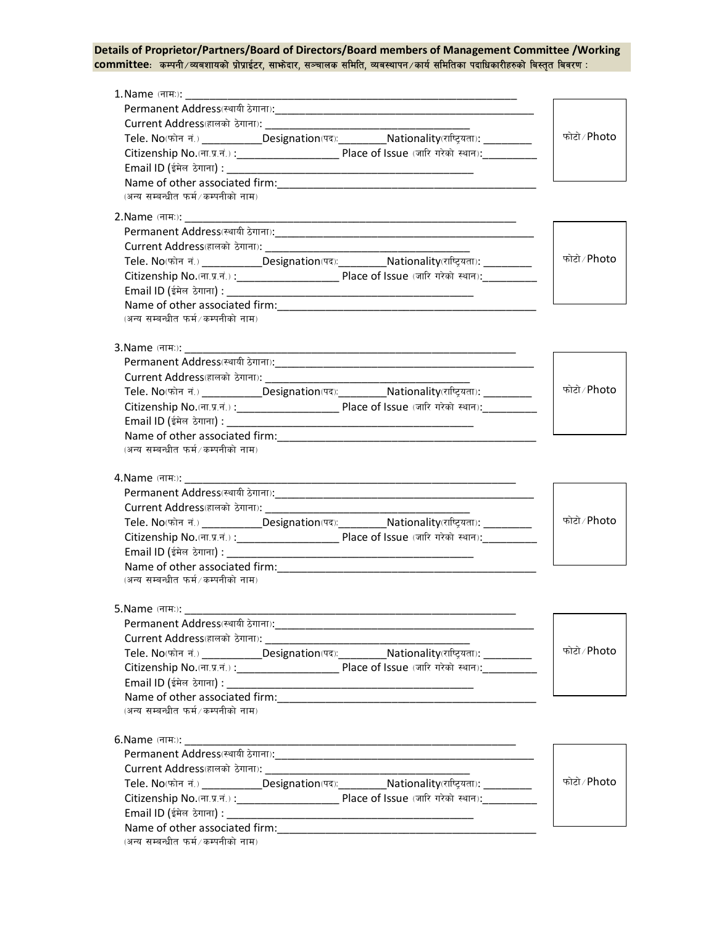### Details of Proprietor/Partners/Board of Directors/Board members of Management Committee /Working committee: कम्पनी/व्यवशायको प्रोप्राईटर, साभ्रेदार, सञ्चालक समिति, व्यवस्थापन/कार्य समितिका पदाधिकारीहरुको बिस्तृत बिवरण:

| 1. Name (नामः): _________          | <u> 1980 - Johann John Stone, mars eta berezki eta biztanleria eta biztanleria eta biztanleria eta biztanleria e</u>  |                              |
|------------------------------------|-----------------------------------------------------------------------------------------------------------------------|------------------------------|
|                                    |                                                                                                                       |                              |
|                                    |                                                                                                                       |                              |
|                                    | Tele. No(फोन नं.) _____________Designation(पद): __________Nationality(राष्ट्रियता): __________                        | फोटो ∕ Photo                 |
|                                    |                                                                                                                       |                              |
|                                    |                                                                                                                       |                              |
|                                    |                                                                                                                       |                              |
| (अन्य सम्बन्धीत फर्म/कम्पनीको नाम) |                                                                                                                       |                              |
|                                    |                                                                                                                       |                              |
|                                    |                                                                                                                       |                              |
|                                    |                                                                                                                       |                              |
|                                    | Current Address (हालको ठेगाना): _________________                                                                     |                              |
|                                    | Tele. No(फोन नं.) ___________Designation(पद): ___________Nationality(राष्ट्रियता): __________                         | फोटो∕ Photo                  |
|                                    |                                                                                                                       |                              |
|                                    |                                                                                                                       |                              |
|                                    |                                                                                                                       |                              |
| (अन्य सम्बन्धीत फर्म/कम्पनीको नाम) |                                                                                                                       |                              |
|                                    |                                                                                                                       |                              |
| 3. Name (नामः): 1990               | <u> 1989 - Johann Harry Harry Harry Harry Harry Harry Harry Harry Harry Harry Harry Harry Harry Harry Harry Harry</u> |                              |
|                                    |                                                                                                                       |                              |
|                                    |                                                                                                                       |                              |
|                                    | Tele. No(फोन नं.) ____________Designation(पद): ___________Nationality(राष्ट्रियता): __________                        | फोटो ∕ Photo                 |
|                                    |                                                                                                                       |                              |
|                                    |                                                                                                                       |                              |
| (अन्य सम्बन्धीत फर्म/कम्पनीको नाम) |                                                                                                                       |                              |
|                                    |                                                                                                                       |                              |
|                                    | Current Address (हालको ठेगाना): ____________________________                                                          |                              |
|                                    | Tele. No(फोन नं.) _____________Designation(पद):___________Nationality(राष्ट्रियता): _____________                     | फोटो ∕ Photo                 |
|                                    |                                                                                                                       |                              |
|                                    |                                                                                                                       |                              |
|                                    |                                                                                                                       |                              |
|                                    |                                                                                                                       |                              |
| (अन्य सम्बन्धीत फर्म/कम्पनीको नाम) |                                                                                                                       |                              |
|                                    |                                                                                                                       |                              |
|                                    |                                                                                                                       |                              |
|                                    |                                                                                                                       |                              |
|                                    |                                                                                                                       |                              |
|                                    | Tele. No(फोन नं.) ____________Designation(पद):___________Nationality(राष्ट्रियता): __________                         |                              |
|                                    |                                                                                                                       |                              |
|                                    |                                                                                                                       |                              |
| (अन्य सम्बन्धीत फर्म/कम्पनीको नाम) |                                                                                                                       |                              |
|                                    |                                                                                                                       |                              |
|                                    |                                                                                                                       |                              |
|                                    |                                                                                                                       |                              |
|                                    |                                                                                                                       |                              |
|                                    | Tele. No(फोन नं.) ____________Designation(पद): ___________Nationality(राष्ट्रियता): _________                         |                              |
| 5. Name (नाम:):                    |                                                                                                                       | फोटो ∕ Photo<br>फोटो ∕ Photo |
|                                    |                                                                                                                       |                              |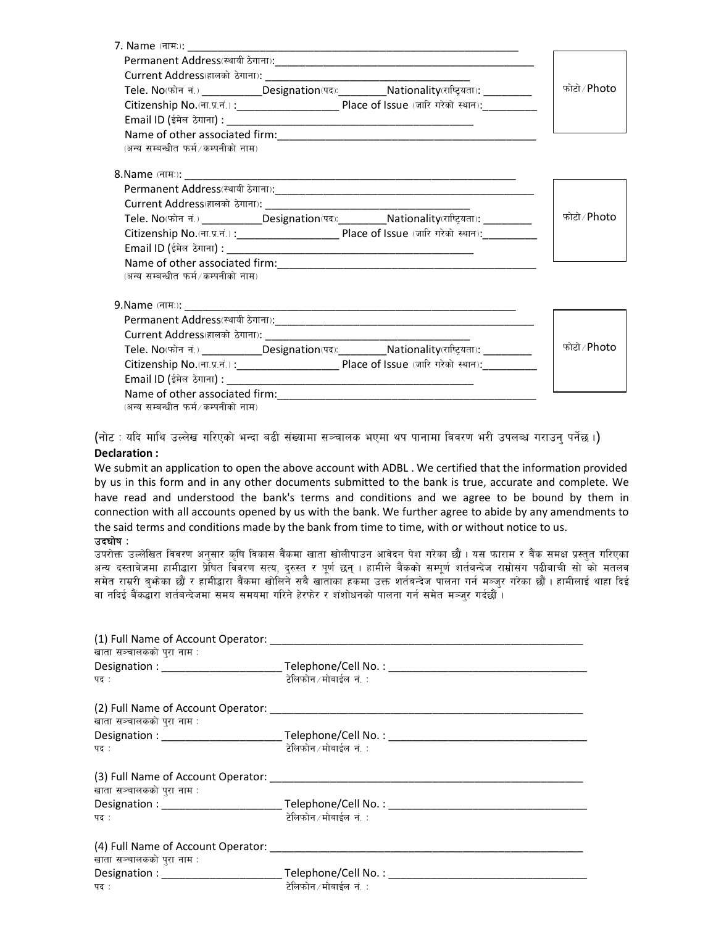|                                    | Tele. No(फोन नं.) _____________Designation(पद):___________Nationality(राष्ट्रियता): __________    | फोटो ∕ Photo |
|------------------------------------|---------------------------------------------------------------------------------------------------|--------------|
|                                    |                                                                                                   |              |
|                                    |                                                                                                   |              |
|                                    | Name of other associated firm: Name of other associated firm:                                     |              |
| (अन्य सम्बन्धीत फर्म/कम्पनीको नाम) |                                                                                                   |              |
|                                    |                                                                                                   |              |
|                                    |                                                                                                   |              |
|                                    |                                                                                                   |              |
|                                    | Tele. No(फोन नं.) _____________Designation(पद):___________Nationality(राष्ट्रियता): _____________ | फोटो ∕ Photo |
|                                    |                                                                                                   |              |
|                                    |                                                                                                   |              |
|                                    |                                                                                                   |              |
| (अन्य सम्बन्धीत फर्म/कम्पनीको नाम) |                                                                                                   |              |
|                                    |                                                                                                   |              |
|                                    |                                                                                                   |              |
|                                    |                                                                                                   |              |
|                                    |                                                                                                   |              |
|                                    | Tele. No(फोन नं.) _____________Designation(पद):___________Nationality(राष्ट्रियता): _____________ | फोटो ∕ Photo |
|                                    |                                                                                                   |              |
|                                    |                                                                                                   |              |
|                                    |                                                                                                   |              |
| (अन्य सम्बन्धीत फर्म/कम्पनीको नाम) |                                                                                                   |              |

(नोट: यदि माथि उल्लेख गरिएको भन्दा बढी संख्यामा सञ्चालक भएमा थप पानामा विवरण भरी उपलब्ध गराउन् पर्नेछ ।) Declaration :

We submit an application to open the above account with ADBL . We certified that the information provided by us in this form and in any other documents submitted to the bank is true, accurate and complete. We have read and understood the bank's terms and conditions and we agree to be bound by them in connection with all accounts opened by us with the bank. We further agree to abide by any amendments to the said terms and conditions made by the bank from time to time, with or without notice to us.

#### $\overline{3}$ दघोष $\cdot$

उपरोक्त उल्लेखित विवरण अनुसार कृषि विकास बैंकमा खाता खोलीपाउन आवेदन पेश गरेका छौं । यस फाराम र बैंक समक्ष प्रस्तुत गरिएका अन्य दस्तावेजमा हामीद्धारा प्रेषित विवरण सत्य, दरुस्त र पर्ण छन् । हामीले बैंकको सम्पर्ण शर्तबन्देज राम्रोसंग पढीबाची सो को मतलव समेत राम्ररी बभोका छौं र हामीद्वारा बैंकमा खोलिने सबै खाताका हकमा उक्त शर्तबन्देज पालना गर्न मञ्जर गरेका छौं । हामीलाई थाहा दिई वा नदिई बैंकद्धारा शर्तबन्देजमा समय समयमा गरिने हेरफेर र शंशोधनको पालना गर्न समेत मञ्जर गर्दछौँ ।

| (1) Full Name of Account Operator: (2) South Assembly Name of Account Operator: |                         |
|---------------------------------------------------------------------------------|-------------------------|
| खाता सञ्चालकको पुरा नाम :                                                       |                         |
|                                                                                 |                         |
| पद :                                                                            | टेलिफोन ∕ मोबाईल  नं. ∶ |
|                                                                                 |                         |
| खाता सञ्चालकको पुरा नाम :                                                       |                         |
|                                                                                 |                         |
| पद :                                                                            | टेलिफोन ∕ मोबाईल  नं. ∶ |
|                                                                                 |                         |
| खाता सञ्चालकको पुरा नाम :                                                       |                         |
|                                                                                 |                         |
| पद :                                                                            | टेलिफोन ∕ मोबाईल  नं. ∶ |
| (4) Full Name of Account Operator:                                              |                         |
| खाता सञ्चालकको पुरा नाम :                                                       |                         |
|                                                                                 |                         |
| पद :                                                                            | टेलिफोन ∕ मोबाईल नं. ∶  |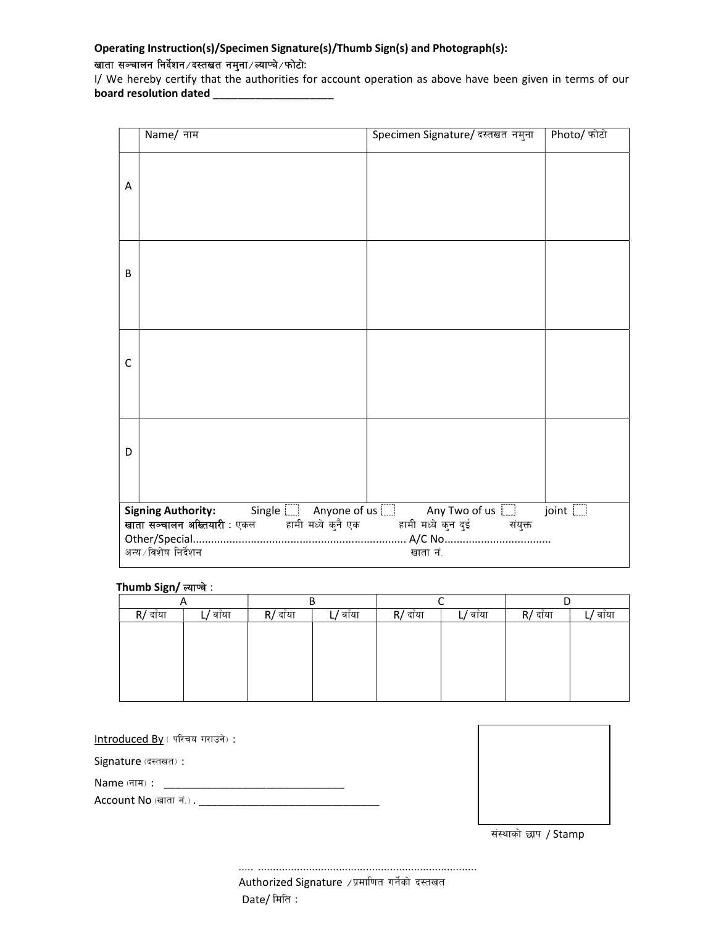## Operating Instruction(s)/Specimen Signature(s)/Thumb Sign(s) and Photograph(s):

### खाता सञ्चालन निर्देशन ⁄ दस्तखत नमुना ⁄ ल्याप्चे ⁄ फोटोः

I/ We hereby certify that the authorities for account operation as above have been given in terms of our board resolution dated \_\_\_\_\_\_\_\_\_\_\_\_\_\_\_\_\_\_\_\_

|   | Name/ नाम                                                                                     | Specimen Signature/ दस्तखत नमुना | Photo/ फोटो |
|---|-----------------------------------------------------------------------------------------------|----------------------------------|-------------|
| A |                                                                                               |                                  |             |
| B |                                                                                               |                                  |             |
| C |                                                                                               |                                  |             |
| D |                                                                                               |                                  |             |
|   | <b>Signing Authority:</b> Single $\Box$ Anyone of us $\Box$ Any Two of us $\Box$ joint $\Box$ |                                  |             |
|   | <b>खाता सञ्चालन अख्तियारी</b> : एकल कामी मध्ये कुनै एक कामी मध्ये कुन दुई संयुक्त             |                                  |             |
|   | अन्य ∕ विशेष निर्देशन                                                                         | खाता नं.                         |             |
|   |                                                                                               |                                  |             |

### Thumb Sign/ ल्याप्चे :

| n        |         | В        |          |          |          |          |         |
|----------|---------|----------|----------|----------|----------|----------|---------|
| R/ दाँया | / वाँया | R/ दाँया | L/ वाँया | R/ दाँया | L/ वाँया | R/ दाँया | / वाँया |
|          |         |          |          |          |          |          |         |
|          |         |          |          |          |          |          |         |
|          |         |          |          |          |          |          |         |
|          |         |          |          |          |          |          |         |
|          |         |          |          |          |          |          |         |
|          |         |          |          |          |          |          |         |

Introduced By (परिचय गराउने) :

Signature (दस्तखत):

Name -gfd\_ : \_\_\_\_\_\_\_\_\_\_\_\_\_\_\_\_\_\_\_\_\_\_\_\_\_\_\_\_\_\_

Account No -vftf g+=\_ . \_\_\_\_\_\_\_\_\_\_\_\_\_\_\_\_\_\_\_\_\_\_\_\_\_\_\_\_\_\_



संस्थाको छाप / Stamp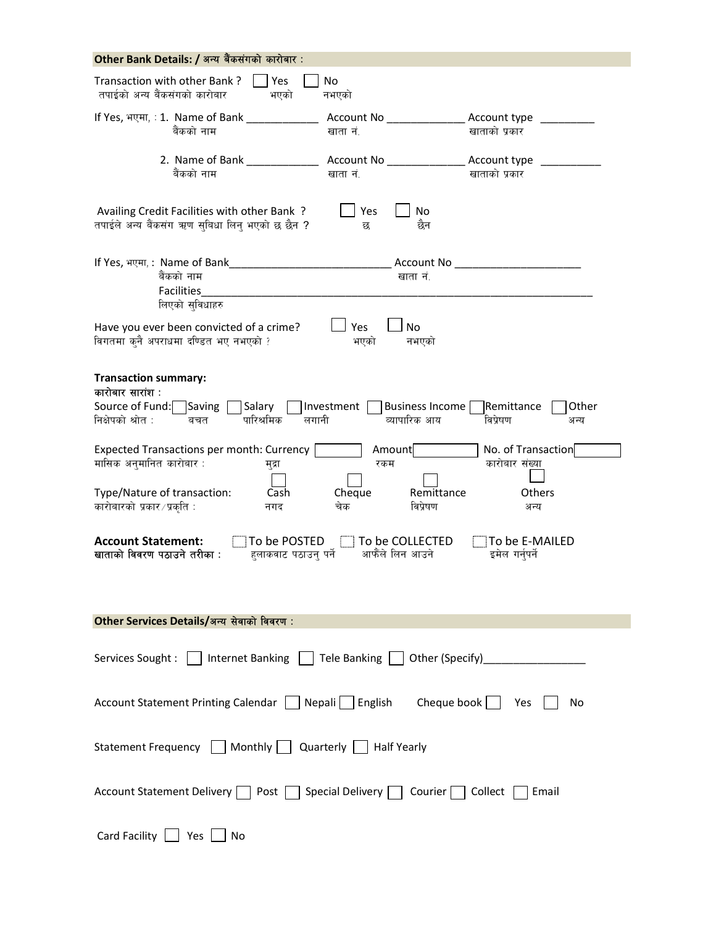| Other Bank Details: / अन्य बैंकसंगको कारोबार:                                                                                                                                                                                                                                                                                                                           |                                                                                                                                                                                                   |                                                                                                                                        |
|-------------------------------------------------------------------------------------------------------------------------------------------------------------------------------------------------------------------------------------------------------------------------------------------------------------------------------------------------------------------------|---------------------------------------------------------------------------------------------------------------------------------------------------------------------------------------------------|----------------------------------------------------------------------------------------------------------------------------------------|
| Transaction with other Bank?<br>Yes<br>तपाईको अन्य बैंकसंगको कारोबार<br>भएको                                                                                                                                                                                                                                                                                            | No<br>नभएको                                                                                                                                                                                       |                                                                                                                                        |
| If Yes, भएमा, : 1. Name of Bank<br>बैंकको नाम                                                                                                                                                                                                                                                                                                                           | खाता नं.                                                                                                                                                                                          | Account type ________<br>खाताको प्रकार                                                                                                 |
| बैंकको नाम                                                                                                                                                                                                                                                                                                                                                              | Account No _________________ Account type<br>खाता नं.                                                                                                                                             | खाताको प्रकार                                                                                                                          |
| Availing Credit Facilities with other Bank?<br>तपाईले अन्य बैंकसंग ऋण सुबिधा लिन् भएको छ छैन ?                                                                                                                                                                                                                                                                          | Yes<br>No<br>छैन<br>छ                                                                                                                                                                             |                                                                                                                                        |
| If Yes, भएमा,: Name of Bank<br>बैंकको नाम<br><b>Facilities</b><br>लिएको सुविधाहरु                                                                                                                                                                                                                                                                                       | खाता नं.                                                                                                                                                                                          |                                                                                                                                        |
| Have you ever been convicted of a crime?<br>विगतमा क्नै अपराधमा दण्डित भए नभएको ?                                                                                                                                                                                                                                                                                       | Yes<br><b>No</b><br>भएको<br>नभएको                                                                                                                                                                 |                                                                                                                                        |
| <b>Transaction summary:</b><br>कारोबार सारांश :<br>Source of Fund: Saving<br>Salary<br>निक्षेपको श्रोत :<br>पारिश्रमिक<br>लगानी<br>बचत<br><b>Expected Transactions per month: Currency</b><br>मासिक अनुमानित कारोबार:<br>मुद्रा<br>Type/Nature of transaction:<br>Cash<br>कारोबारको प्रकार /प्रकृति:<br>नगद<br><b>Account Statement:</b><br>खाताको विवरण पठाउने तरीका : | Investment  <br>Business Income<br>व्यापारिक आय<br>Amount<br>रकम<br>Cheque<br>Remittance<br>चेक<br>विप्रेषण<br>$\Box$ To be POSTED $\Box$ To be COLLECTED<br>हलाकवाट पठाउन् पर्ने आफैंले लिन आउने | Remittance<br>Other<br>विप्रेषण<br>अन्य<br>No. of Transaction<br>कारोबार संख्या<br>Others<br>अन्य<br>To be E-MAILED<br>इमेल गर्नुपर्ने |
| Other Services Details/अन्य सेवाको विवरण:                                                                                                                                                                                                                                                                                                                               |                                                                                                                                                                                                   |                                                                                                                                        |
| Services Sought:     Internet Banking     Tele Banking     Other (Specify)                                                                                                                                                                                                                                                                                              |                                                                                                                                                                                                   |                                                                                                                                        |
| Account Statement Printing Calendar   Nepali   English Cheque book   Yes                                                                                                                                                                                                                                                                                                |                                                                                                                                                                                                   | No                                                                                                                                     |
| Statement Frequency     Monthly     Quarterly     Half Yearly                                                                                                                                                                                                                                                                                                           |                                                                                                                                                                                                   |                                                                                                                                        |
| Account Statement Delivery   Post   Special Delivery   Courier   Collect                                                                                                                                                                                                                                                                                                |                                                                                                                                                                                                   | Email                                                                                                                                  |
| Card Facility $\boxed{\phantom{a}}$ Yes<br>No                                                                                                                                                                                                                                                                                                                           |                                                                                                                                                                                                   |                                                                                                                                        |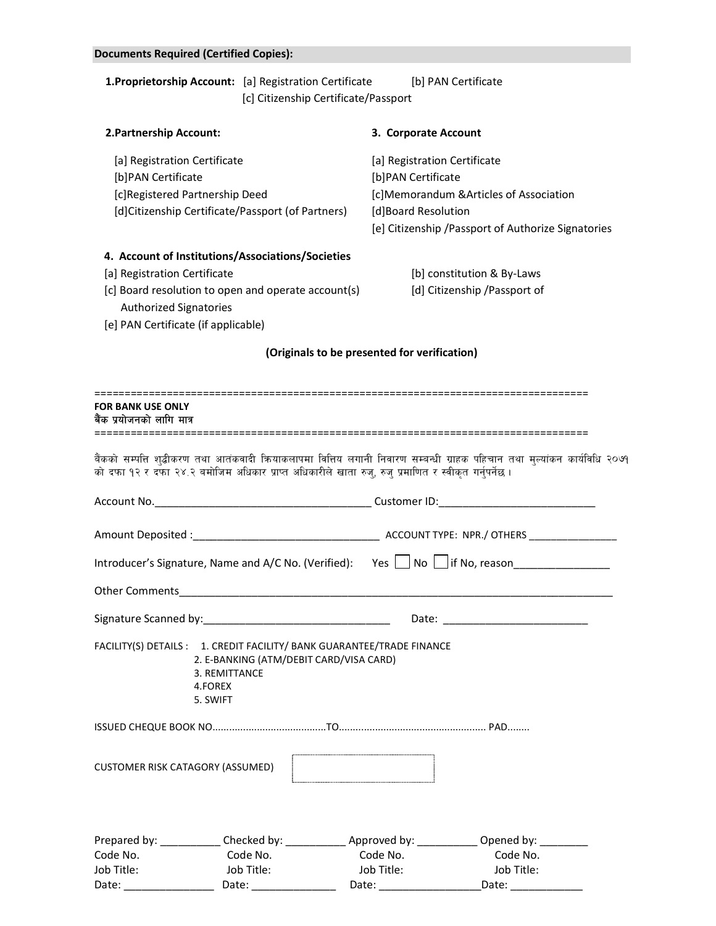|                                                               | <b>Documents Required (Certified Copies):</b>                                                                                                                                                                                                |                                                                                                                                                                                                                                              |                                                                           |                                                                                                                                                                                                                                |  |
|---------------------------------------------------------------|----------------------------------------------------------------------------------------------------------------------------------------------------------------------------------------------------------------------------------------------|----------------------------------------------------------------------------------------------------------------------------------------------------------------------------------------------------------------------------------------------|---------------------------------------------------------------------------|--------------------------------------------------------------------------------------------------------------------------------------------------------------------------------------------------------------------------------|--|
|                                                               | <b>1. Proprietorship Account:</b> [a] Registration Certificate                                                                                                                                                                               | [c] Citizenship Certificate/Passport                                                                                                                                                                                                         | [b] PAN Certificate                                                       |                                                                                                                                                                                                                                |  |
| 2. Partnership Account:                                       |                                                                                                                                                                                                                                              |                                                                                                                                                                                                                                              | 3. Corporate Account                                                      |                                                                                                                                                                                                                                |  |
| [a] Registration Certificate<br>[b]PAN Certificate            | [c]Registered Partnership Deed<br>[d]Citizenship Certificate/Passport (of Partners)                                                                                                                                                          |                                                                                                                                                                                                                                              | [a] Registration Certificate<br>[b]PAN Certificate<br>[d]Board Resolution | [c]Memorandum &Articles of Association<br>[e] Citizenship / Passport of Authorize Signatories                                                                                                                                  |  |
| [a] Registration Certificate<br><b>Authorized Signatories</b> | 4. Account of Institutions/Associations/Societies<br>[c] Board resolution to open and operate account(s)<br>[e] PAN Certificate (if applicable)                                                                                              |                                                                                                                                                                                                                                              |                                                                           | [b] constitution & By-Laws<br>[d] Citizenship /Passport of                                                                                                                                                                     |  |
|                                                               |                                                                                                                                                                                                                                              | (Originals to be presented for verification)                                                                                                                                                                                                 |                                                                           |                                                                                                                                                                                                                                |  |
| <b>FOR BANK USE ONLY</b><br>बैंक प्रयोजनको लागि मात्र         |                                                                                                                                                                                                                                              |                                                                                                                                                                                                                                              |                                                                           |                                                                                                                                                                                                                                |  |
|                                                               | बैंकको सम्पत्ति शुद्धीकरण तथा आतंकवादी कियाकलापमा वित्तिय लगानी निवारण सम्बन्धी ग्राहक पहिचान तथा मुल्यांकन कार्यविधि २०७१<br>को दफा १२ र दफा २४.२ बमोजिम अधिकार प्राप्त अधिकारीले खाता रुज्, रुज् प्रमाणित र स्वीकृत गर्नुपर्नेछ।           |                                                                                                                                                                                                                                              |                                                                           |                                                                                                                                                                                                                                |  |
|                                                               |                                                                                                                                                                                                                                              |                                                                                                                                                                                                                                              |                                                                           |                                                                                                                                                                                                                                |  |
|                                                               |                                                                                                                                                                                                                                              |                                                                                                                                                                                                                                              |                                                                           |                                                                                                                                                                                                                                |  |
|                                                               | Introducer's Signature, Name and A/C No. (Verified): Yes   No   if No, reason_______________________                                                                                                                                         |                                                                                                                                                                                                                                              |                                                                           |                                                                                                                                                                                                                                |  |
|                                                               | Other Comments experiences and the comments of the comments of the comments of the comments of the comments of                                                                                                                               |                                                                                                                                                                                                                                              |                                                                           |                                                                                                                                                                                                                                |  |
|                                                               |                                                                                                                                                                                                                                              |                                                                                                                                                                                                                                              |                                                                           | Date: the contract of the contract of the contract of the contract of the contract of the contract of the contract of the contract of the contract of the contract of the contract of the contract of the contract of the cont |  |
|                                                               | FACILITY(S) DETAILS : 1. CREDIT FACILITY/ BANK GUARANTEE/TRADE FINANCE<br>2. E-BANKING (ATM/DEBIT CARD/VISA CARD)<br>3. REMITTANCE<br>4.FOREX<br>5. SWIFT                                                                                    |                                                                                                                                                                                                                                              |                                                                           |                                                                                                                                                                                                                                |  |
|                                                               |                                                                                                                                                                                                                                              |                                                                                                                                                                                                                                              |                                                                           |                                                                                                                                                                                                                                |  |
|                                                               | CUSTOMER RISK CATAGORY (ASSUMED)                                                                                                                                                                                                             |                                                                                                                                                                                                                                              |                                                                           |                                                                                                                                                                                                                                |  |
|                                                               | Prepared by: _____________Checked by: __________________Approved by: _____________Opened by: ________                                                                                                                                        |                                                                                                                                                                                                                                              |                                                                           |                                                                                                                                                                                                                                |  |
| Code No.                                                      | Code No.                                                                                                                                                                                                                                     | Code No.                                                                                                                                                                                                                                     |                                                                           | Code No.                                                                                                                                                                                                                       |  |
| Job Title:<br>Date:                                           | Job Title:<br>Date: the contract of the contract of the contract of the contract of the contract of the contract of the contract of the contract of the contract of the contract of the contract of the contract of the contract of the cont | Job Title:<br>Date: the controller controller controller controller controller controller controller controller controller controller controller controller controller controller controller controller controller controller controller con |                                                                           | Job Title:<br>Date:                                                                                                                                                                                                            |  |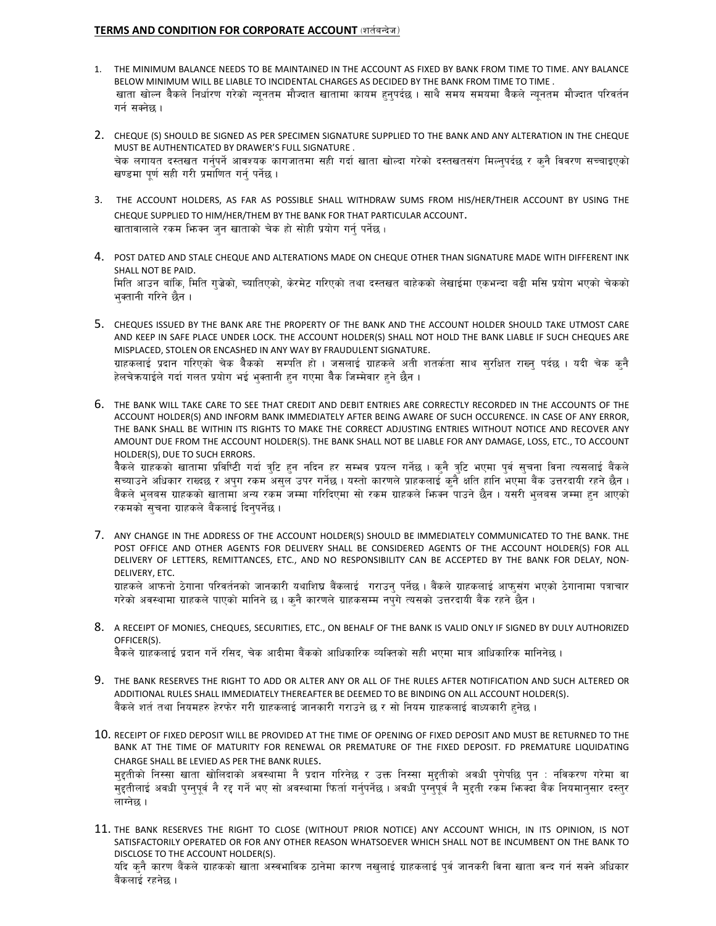#### TERMS AND CONDITION FOR CORPORATE ACCOUNT (शर्तबन्देज)

- 1. THE MINIMUM BALANCE NEEDS TO BE MAINTAINED IN THE ACCOUNT AS FIXED BY BANK FROM TIME TO TIME. ANY BALANCE BELOW MINIMUM WILL BE LIABLE TO INCIDENTAL CHARGES AS DECIDED BY THE BANK FROM TIME TO TIME . खाता खोल्न बैकले निर्धारण गरेको न्यनतम मौज्दात खातामा कायम हनपर्दछ । साथै समय समयमा बैकले न्यनतम मौज्दात परिवर्तन गर्न सक्नेछ ।
- 2. CHEQUE (S) SHOULD BE SIGNED AS PER SPECIMEN SIGNATURE SUPPLIED TO THE BANK AND ANY ALTERATION IN THE CHEQUE MUST BE AUTHENTICATED BY DRAWER'S FULL SIGNATURE . चेक लगायत दस्तखत गर्नुपर्ने आवश्यक कागजातमा सही गर्दा खाता खोल्दा गरेको दस्तखतसंग मिल्नुपर्दछ र कुनै विवरण सच्चाइएको खण्डमा पूर्ण सही गरी प्रमाणित गर्न पर्नेछ ।
- 3. THE ACCOUNT HOLDERS, AS FAR AS POSSIBLE SHALL WITHDRAW SUMS FROM HIS/HER/THEIR ACCOUNT BY USING THE CHEQUE SUPPLIED TO HIM/HER/THEM BY THE BANK FOR THAT PARTICULAR ACCOUNT. खातावालाले रकम भिजन जुन खाताको चेक हो सोही प्रयोग गर्नु पर्नेछ।
- 4. POST DATED AND STALE CHEQUE AND ALTERATIONS MADE ON CHEQUE OTHER THAN SIGNATURE MADE WITH DIFFERENT INK SHALL NOT BE PAID. मिति आउन बांकि, मिति गुज्रेको, च्यातिएको, केरमेट गरिएको तथा दस्तखत बाहेकको लेखाईमा एकभन्दा बढी मसि प्रयोग भएको चेकको भक्तानी गरिने छैन ।
- 5. CHEQUES ISSUED BY THE BANK ARE THE PROPERTY OF THE BANK AND THE ACCOUNT HOLDER SHOULD TAKE UTMOST CARE AND KEEP IN SAFE PLACE UNDER LOCK. THE ACCOUNT HOLDER(S) SHALL NOT HOLD THE BANK LIABLE IF SUCH CHEQUES ARE MISPLACED, STOLEN OR ENCASHED IN ANY WAY BY FRAUDULENT SIGNATURE. ग्राहकलाई प्रदान गरिएको चेक बैकको सम्पति हो । जसलाई ग्राहकले अती शतर्कता साथ सुरक्षित राख्नु पर्दछ । यदी चेक कुनै हेलचेकयाईले गर्दा गलत प्रयोग भई भक्तानी हन गएमा बैक जिम्मेवार हने छैन ।
- 6. THE BANK WILL TAKE CARE TO SEE THAT CREDIT AND DEBIT ENTRIES ARE CORRECTLY RECORDED IN THE ACCOUNTS OF THE ACCOUNT HOLDER(S) AND INFORM BANK IMMEDIATELY AFTER BEING AWARE OF SUCH OCCURENCE. IN CASE OF ANY ERROR, THE BANK SHALL BE WITHIN ITS RIGHTS TO MAKE THE CORRECT ADJUSTING ENTRIES WITHOUT NOTICE AND RECOVER ANY AMOUNT DUE FROM THE ACCOUNT HOLDER(S). THE BANK SHALL NOT BE LIABLE FOR ANY DAMAGE, LOSS, ETC., TO ACCOUNT HOLDER(S), DUE TO SUCH ERRORS.

बैकले ग्राहकको खातामा प्रविष्टिी गर्दा त्रुटि हुन नदिन हर सम्भव प्रयत्न गर्नेछ । कुनै त्रुटि भएमा पुर्व सुचना विना त्यसलाई बैंकले सच्याउने अधिकार राख्दछ र अपुग रकम असुल उपर गर्नेछ। यस्तो कारणले प्राहकलाई कुनै क्षति हानि भएमा बैंक उत्तरदायी रहने छैन। बैंकले भलबस ग्राहकको खातामा अन्य रकम जम्मा गरिदिएमा सो रकम ग्राहकले भिन्न पाउने छैन । यसरी भलबस जम्मा हन आएको रकमको सुचना ग्राहकले बैंकलाई दिनुपर्नेछ ।

- 7. ANY CHANGE IN THE ADDRESS OF THE ACCOUNT HOLDER(S) SHOULD BE IMMEDIATELY COMMUNICATED TO THE BANK. THE POST OFFICE AND OTHER AGENTS FOR DELIVERY SHALL BE CONSIDERED AGENTS OF THE ACCOUNT HOLDER(S) FOR ALL DELIVERY OF LETTERS, REMITTANCES, ETC., AND NO RESPONSIBILITY CAN BE ACCEPTED BY THE BANK FOR DELAY, NON-DELIVERY, ETC. ग्राहकले आफनो ठेगाना परिवर्तनको जानकारी यथाशिघ्र बैंकलाई गराउन् पर्नेछ । बैंकले ग्राहकलाई आफसंग भएको ठेगानामा पत्राचार गरेको अवस्थामा ग्राहकले पाएको मानिने छ । कुनै कारणले ग्राहकसम्म नपुगे त्यसको उत्तरदायी बैंक रहने छैन ।
- 8. A RECEIPT OF MONIES, CHEQUES, SECURITIES, ETC., ON BEHALF OF THE BANK IS VALID ONLY IF SIGNED BY DULY AUTHORIZED OFFICER(S). बैकले ग्राहकलाई प्रदान गर्ने रसिद. चेक आदीमा बैंकको आधिकारिक व्यक्तिको सही भएमा मात्र आधिकारिक मानिनेछ ।
- 9. THE BANK RESERVES THE RIGHT TO ADD OR ALTER ANY OR ALL OF THE RULES AFTER NOTIFICATION AND SUCH ALTERED OR ADDITIONAL RULES SHALL IMMEDIATELY THEREAFTER BE DEEMED TO BE BINDING ON ALL ACCOUNT HOLDER(S). बैंकले शर्त तथा नियमहरु हेरफेर गरी ग्राहकलाई जानकारी गराउने छ र सो नियम ग्राहकलाई वाध्यकारी हुनेछ **।**
- 10. RECEIPT OF FIXED DEPOSIT WILL BE PROVIDED AT THE TIME OF OPENING OF FIXED DEPOSIT AND MUST BE RETURNED TO THE BANK AT THE TIME OF MATURITY FOR RENEWAL OR PREMATURE OF THE FIXED DEPOSIT. FD PREMATURE LIQUIDATING CHARGE SHALL BE LEVIED AS PER THE BANK RULES.

महतीको निस्सा खाता खोलिदाको अवस्थामा नै प्रदान गरिनेछ र उक्त निस्सा महतीको अवधी पगेपछि पन : नविकरण गरेमा वा म्हतीलाई अवधी पुग्नुपूर्व नै रद्द गर्ने भए सो अवस्थामा फिर्ता गर्नुपर्नेछ । अवधी पुग्नुपूर्व नै मुद्दती रकम फिक्दा बैंक नियमानुसार दस्तुर लाग्नेछ ।

11. THE BANK RESERVES THE RIGHT TO CLOSE (WITHOUT PRIOR NOTICE) ANY ACCOUNT WHICH, IN ITS OPINION, IS NOT SATISFACTORILY OPERATED OR FOR ANY OTHER REASON WHATSOEVER WHICH SHALL NOT BE INCUMBENT ON THE BANK TO DISCLOSE TO THE ACCOUNT HOLDER(S). यदि कुनै कारण बैंकले ग्राहकको खाता अस्वभाविक ठानेमा कारण नखुलाई ग्राहकलाई पुर्व जानकरी विना खाता वन्द गर्न सक्ने अधिकार बैंकलाई रहनेछ ।